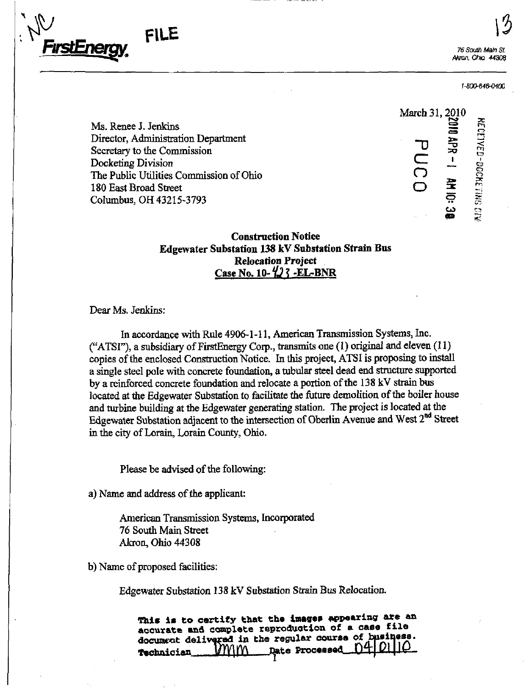

76 South Main St. Akron, Ohio 44308

1-800-646-0400

Ms. Renee J. Jenkins<br>
Director, Administration Department<br>
Secretary to the Commission<br>
Docketing Division<br>
The Public Utilities Commission of Ohio<br>
180 East Broad Street<br>
Columbus, OH 43215-3793<br>  $\frac{27}{100} = 0.900000000$ Director, Administration Department<br>
Secretary to the Commission<br>
Docketing Division<br>
The Public Utilities Commission of Ohio<br>
180 East Broad Street<br>
C Secretary to the Commission Docketing Division The Public Utilities Commission of Ohio 180 East Broad Street Columbus, OH 43215-3793

March 31,2010  $AB - 1$  and  $0: 3$ 

## **Construction Notice** Edgewater Substation 138 kV Substation Strain Bus Relocation Project Case No. 10- $\frac{1}{2}$ ? -EL-BNR

#### Dear Ms. Jenkins:

In accordance with Rule 4906-1-11, American Transmission Systems, Inc. ("ATSI"), a subsidiary of FirstEnergy Corp., transmits one (1) original and eleven (11) copies of the enclosed Construction Notice. In this project, ATSI is proposing to install a single steel pole with concrete foundation, a tubular steel dead end structure supported by a reinforced concrete foundation and relocate a portion of the 138 kV strain bus located at the Edgewater Substation to facilitate the future demolition of the boiler house and turbine building at the Edgewater generating station. The project is located at the Edgewater Substation adjacent to the intersection of Oberlin Avenue and West 2<sup>nd</sup> Street in the city of Lorain, Lorain County, Ohio.

Please be advised of the following:

a) Name and address of the applicant:

American Transmission Systems, Incorporated 76 South Main Street Akron, Ohio 44308

b) Name of proposed facilities:

Edgewater Substation 138 kV Substation Strain Bus Relocation.

This is to certify that the images appearing are an accurate and complete reproduction of a case file document delivered in the regular course of business.<br>  $m_{\text{N}}$  ate Processed  $[04]$   $[01]$   $[02]$ Technician MYVIIV\ Date Processed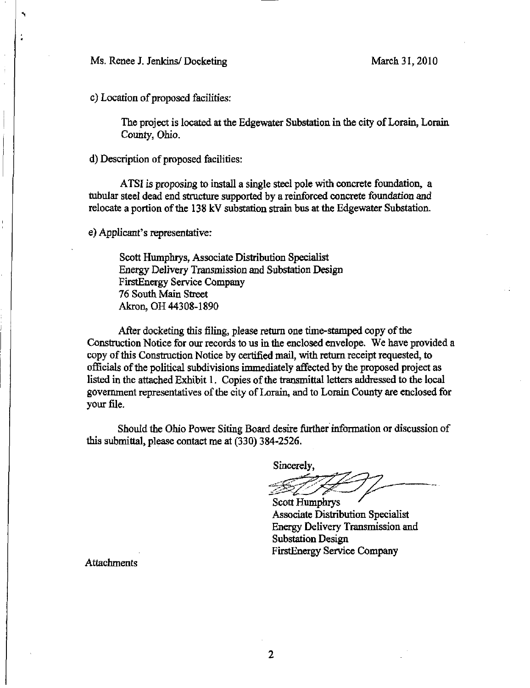Ms. Renee J. Jenkins/Docketing March 31, 2010

c) Location of proposed facilities:

The project is located at the Edgewater Substation in the city of Lorain, Lorain County, Ohio.

d) Description of proposed facilities:

ATSI is proposing to install a single steel pole with concrete foundation, a tubular steel dead end structure supported by a reinforced concrete foundation and relocate a portion of the 138 kV substation strain bus at the Edgewater Substation.

e) Applicant's representative:

Scott Humphrys, Associate Distribution Specialist Energy Delivery Transmission and Substation Design FirstEnergy Service Company 76 South Main Street Akron, OH 44308-1890

After docketing this filing, please return one time-stamped copy of the Construction Notice for our records to us in the enclosed envelope. We have provided a copy of this Construction Notice by certified mail, with return receipt requested, to officials of the political subdivisions inunediately affected by the proposed project as listed in the attached Exhibit 1. Copies of the transmittal letters addressed to the local govermnent representatives of the city of Lorain, and to Lorain County are enclosed for your file.

Should the Ohio Power Siting Board desire further information or discussion of this submittal, please contact me at (330) 384-2526.

Sincerely,

Scott Humphrys Associate Distribution Specialist Energy Delivery Transmission and Substation Design FirstEnergy Service Company

**Attachments**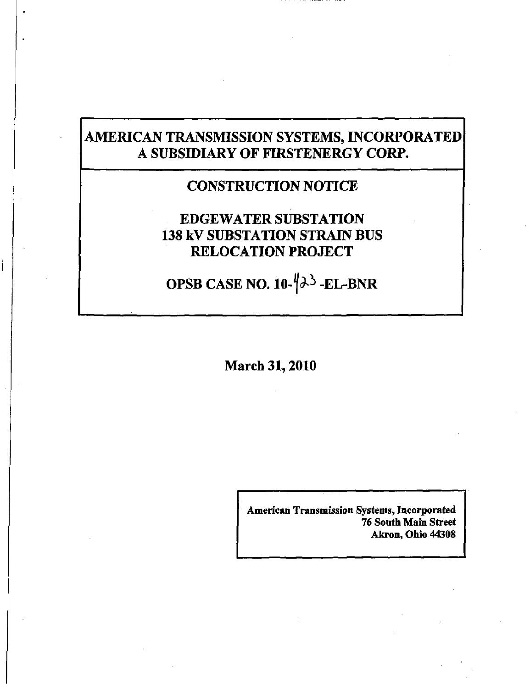# AMERICAN TRANSMISSION SYSTEMS, INCORPORATED A SUBSIDIARY OF FIRSTENERGY CORP.

## CONSTRUCTION NOTICE

# EDGEWATER SUBSTATION 138 kV SUBSTATION STRAIN BUS RELOCATION PROJECT

OPSB CASE NO.  $10-\frac{1}{2}$  $\rightarrow$  -EL-BNR

March 31,2010

American Transmission Systems, Incorporated 76 South Main Street Akron, Ohio 44308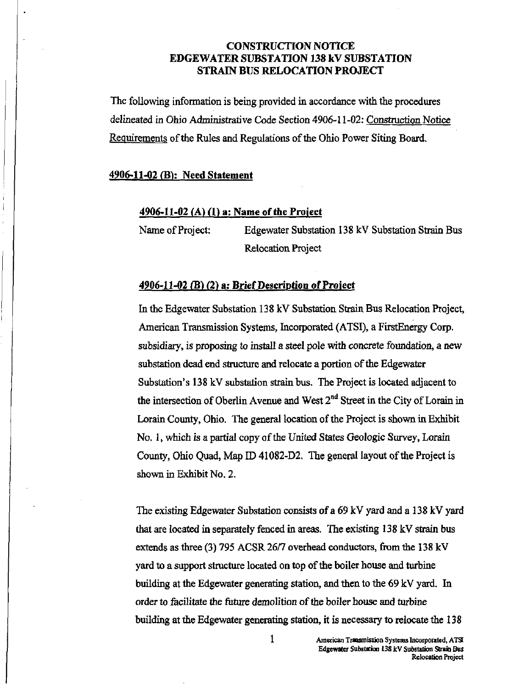## CONSTRUCTION NOTICE EDGEWATER SUBSTATION 138 kV SUBSTATION STRAIN BUS RELOCATION PROJECT

The following information is being provided in accordance with the procedures delineated in Ohio Administrative Code Section 4906-11-02: Construction Notice Requirements of the Rules and Regulations of the Ohio Power Siting Board.

#### 4906-11-02 (B): Need Statement

## $4906 - 11 - 02$  (A) (1) a: Name of the Project

Name of Project: Edgewater Substation 138 kV Substation Strain Bus Relocation Project

#### 4906-11-02 (B) (2) a: Brief Description of Project

In the Edgewater Substation 138 kV Substation Strain Bus Relocation Project, American Transmission Systems, Incorporated (ATSI), a FirstEnergy Corp. subsidiary, is proposing to install a steel pole with concrete foundation, a new substation dead end structure and relocate a portion of the Edgewater Substation's 138 kV substation strain bus. The Project is located adjacent to the intersection of Oberlin Avenue and West  $2<sup>nd</sup>$  Street in the City of Lorain in Lorain County, Ohio. The general location of the Project is shown in Exhibit No. 1, which is a partial copy of the United States Geologic Survey, Lorain County, Ohio Quad, Map ID 41082-D2. The general layout of the Project is shown in Exhibit No. 2.

The existing Edgewater Substation consists of a 69 kV yard and a 138 kV yard that are located in separately fenced in areas. The existing 138 kV strain bus extends as three (3) 795 ACSR 26/7 overhead conductors, from the 138 kV yard to a support structure located on top of the boiler house and turbine building at the Edgewater generating station, and then to the 69 kV yard. In order to facilitate the future demolition of the boiler house and turbine building at the Edgewater generating station, it is necessary to relocate the 138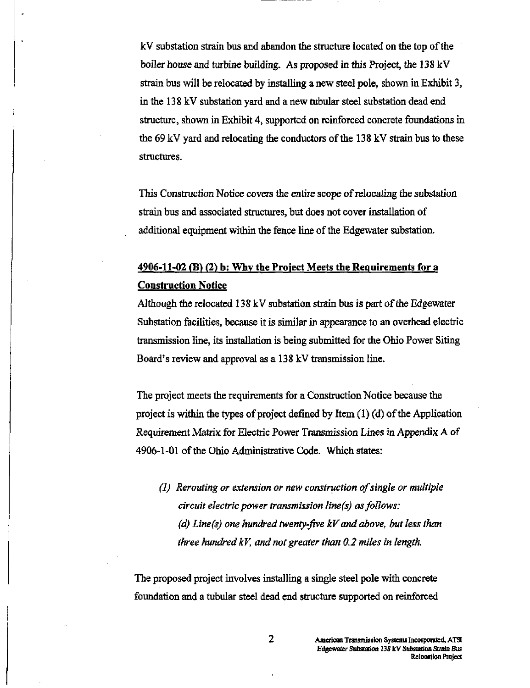kV substation strain bus and abandon the structure located on the top of the boiler house and turbine building. As proposed in this Project, the 138 kV strain bus will be relocated by mstalling a new steel pole, shown in Exhibit 3, in the 138 kV substation yard and a new tubular steel substation dead end structure, shown in Exhibit 4, supported on reinforced concrete foundations in the 69 kV yard and relocating the conductors of the 138 kV strain bus to these structures.

This Construction Notice covers the entire scope of relocating the substation strain bus and associated structures, but does not cover installation of additional equipment within the fence line of the Edgewater substation.

## 4906-11-02 (E) (2) b: Why the Project Meets the Requirements for a Construction Notice

Although the relocated 138 kV substation strain bus is part of the Edgewater Substation facilities, because it is similar in appearance to an overhead electric transmission Ime, its installation is being submitted for the Ohio Power Siting Board's review and approval as a 138 kV transmission line.

The project meets the requirements for a Construction Notice because the project is within the types of project defined by Item (1) (d) of the Application Requirement Matrix for Electric Power Transmission Lines in Appendix A of 4906-1-01 of the Ohio Administrative Code. Which states:

(1) Rerouting or extension or new construction of single or multiple circuit electric power transmission line(s) as follows: (d) Line(s) one hundred twenty-five  $kV$  and above, but less than three hundred kV, and not greater than 0,2 miles in length.

The proposed project involves installing a single steel pole with concrete foundation and a tubular steel dead end structure supported on reinforced

2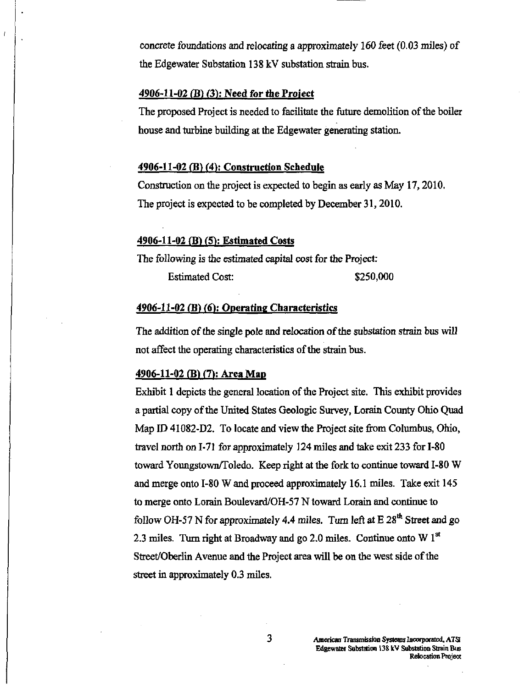concrete foundations and relocating a approximately 160 feet (0.03 miles) of the Edgewater Substation 138 kV substation strain bus.

#### 4906-11-02 (B) (3): Need for the Project

The proposed Project is needed to facilitate the future demolition of the boiler house and turbine building at the Edgewater generating station.

#### 4906-11-02 (E) (4): Construction Schedule

Construction on the project is expected to begin as early as May 17, 2010. The project is expected to be completed by December 31,2010.

#### 4906-11-02 fB) (5): Estimated Costs

The following is the estimated capital cost for the Project: Estimated Cost: \$250,000

#### $4906-11-02$  (B) (6): Operating Characteristics

The addition of the single pole and relocation of the substation strain bus will not affect the operating characteristics of the strain bus.

#### $4906-11-02$  (B) (7): Area Map

Exhibit 1 depicts the general location of the Project site. This exhibit provides a partial copy of the United States Geologic Survey, Lorain County Ohio Quad Map ID 41082-D2. To locate and view the Project site from Columbus, Ohio, travel north on 1-71 for approximately 124 miles and take exit 233 for 1-80 toward Youngstown/Toledo. Keep right at the fork to continue toward 1-80 W and merge onto 1-80 W and proceed approximately 16.1 miles. Take exit 145 to merge onto Lorain Boulevard/OH-57 N toward Lorain and continue to follow OH-57 N for approximately 4.4 miles. Turn left at  $E 28<sup>th</sup>$  Street and go 2.3 miles. Turn right at Broadway and go 2.0 miles. Continue onto W  $1<sup>st</sup>$ Street/Oberlin Avenue and the Project area will be on the west side of the street in approximately 0.3 miles.

3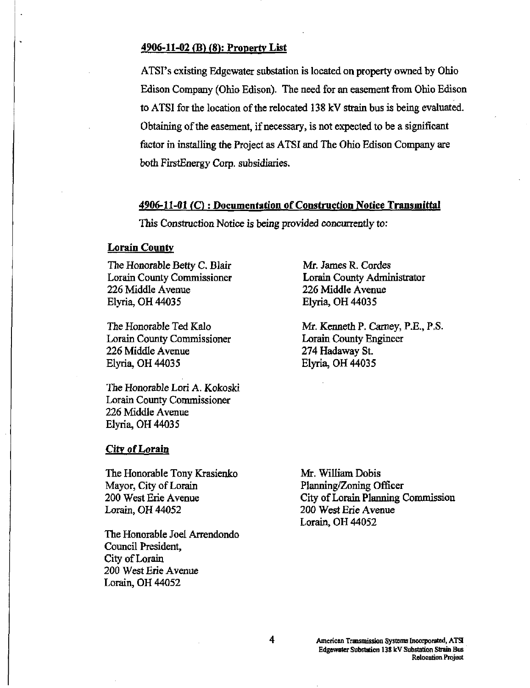#### 4906-11-02 (B) (8): Property List

ATSI's existing Edgewater substation is located on property owned by Ohio Edison Company (Ohio Edison). The need for an easement from Ohio Edison to ATSI for the location of the relocated 138 kV strain bus is being evaluated. Obtaining of the easement, if necessary, is not expected to be a significant factor in installing the Project as ATSI and The Ohio Edison Company are both FirstEnergy Corp. subsidiaries.

#### 4906-11-01 (C); Documentation of Construction Notice Transmittal

This Construction Notice is being provided concurrently to:

## **Lorain County**

The Honorable Betty C. Blair Lorain County Commissioner 226 Middle Avenue Elyria, OH 44035

The Honorable Ted Kalo Lorain County Commissioner 226 Middle Avenue Elyria, OH 44035

The Honorable Lori A. Kokoski Lorain County Commissioner 226 Middle Avenue Elyria, OH 44035

#### City of Lorain

The Honorable Tony Krasienko Mayor, City of Lorain 200 West Erie Avenue Lorain, OH 44052

The Honorable Joel Arrendondo Council President, City of Lorain 200 West Erie Avenue Lorain, OH 44052

Mr. James R. Cordes Lorain County Administrator 226 Middle Avenue Elyria, OH 44035

Mr. Kenneth P. Carney, P.E., P.S. Lorain County Engineer 274 Hadaway St. Elyria, OH 44035

Mr. William Dobis Planning/Zoning Officer City of Lorain Planning Commission 200 West Erie Avenue Lorain, OH 44052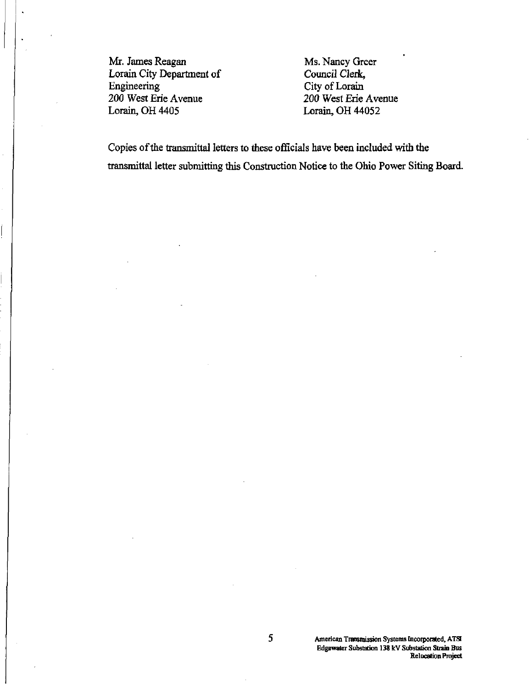Mr. James Reagan Ms. Nancy Greer<br>
Lorain City Department of Council Clerk, Lorain City Department of<br>Engineering Engineering City of Lorain<br>
200 West Erie Avenue 200 West Erie . 200 West Erie Avenue 200 West Erie Avenue<br>
Lorain, OH 4405<br>
200 West Erie Avenue 200 West Erie Avenue

Lorain, OH 44052

Copies of the transmittal letters to these officials have been included with the transmittal letter submitting this Construction Notice to the Ohio Power Siting Board.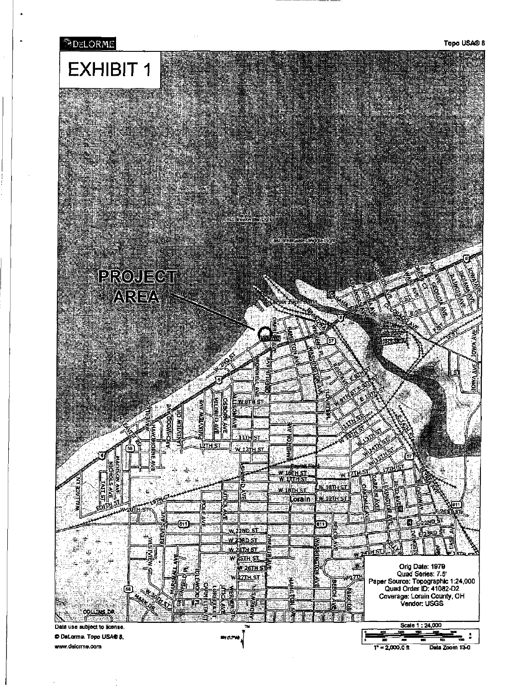

www.delorme.com

 $1^{\circ} = 2,000,0$  ft Data Zoom 13-0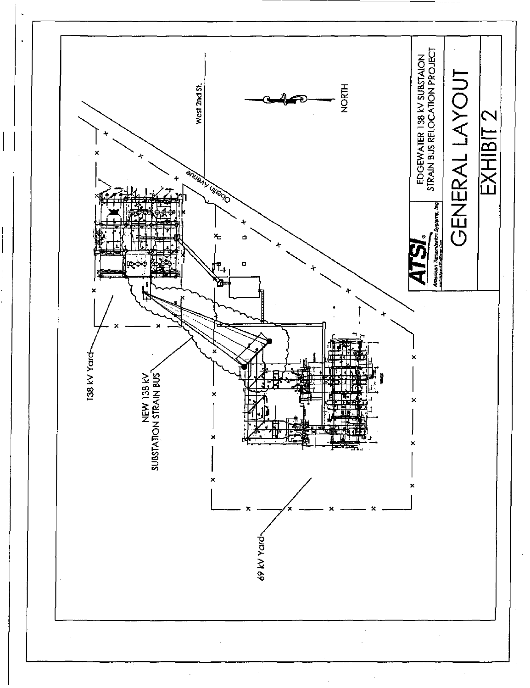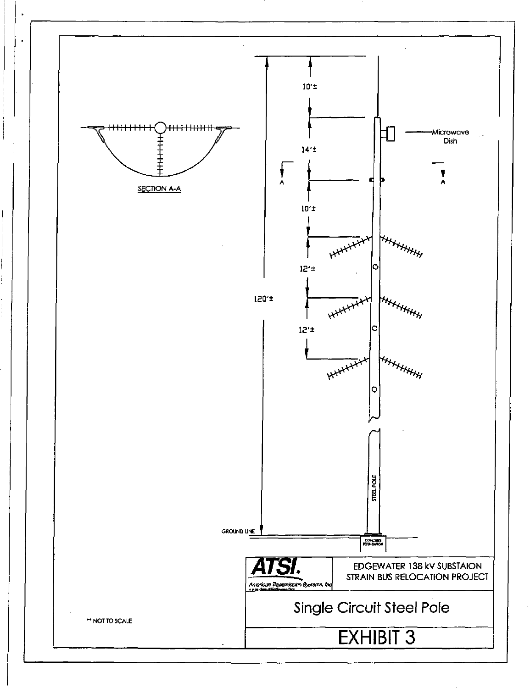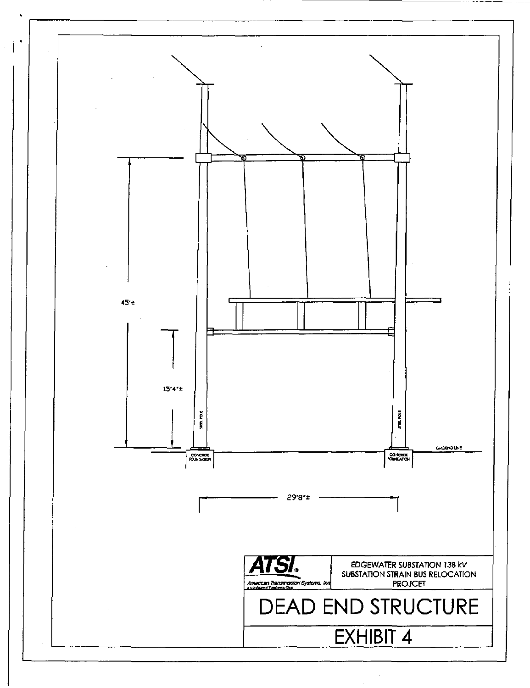